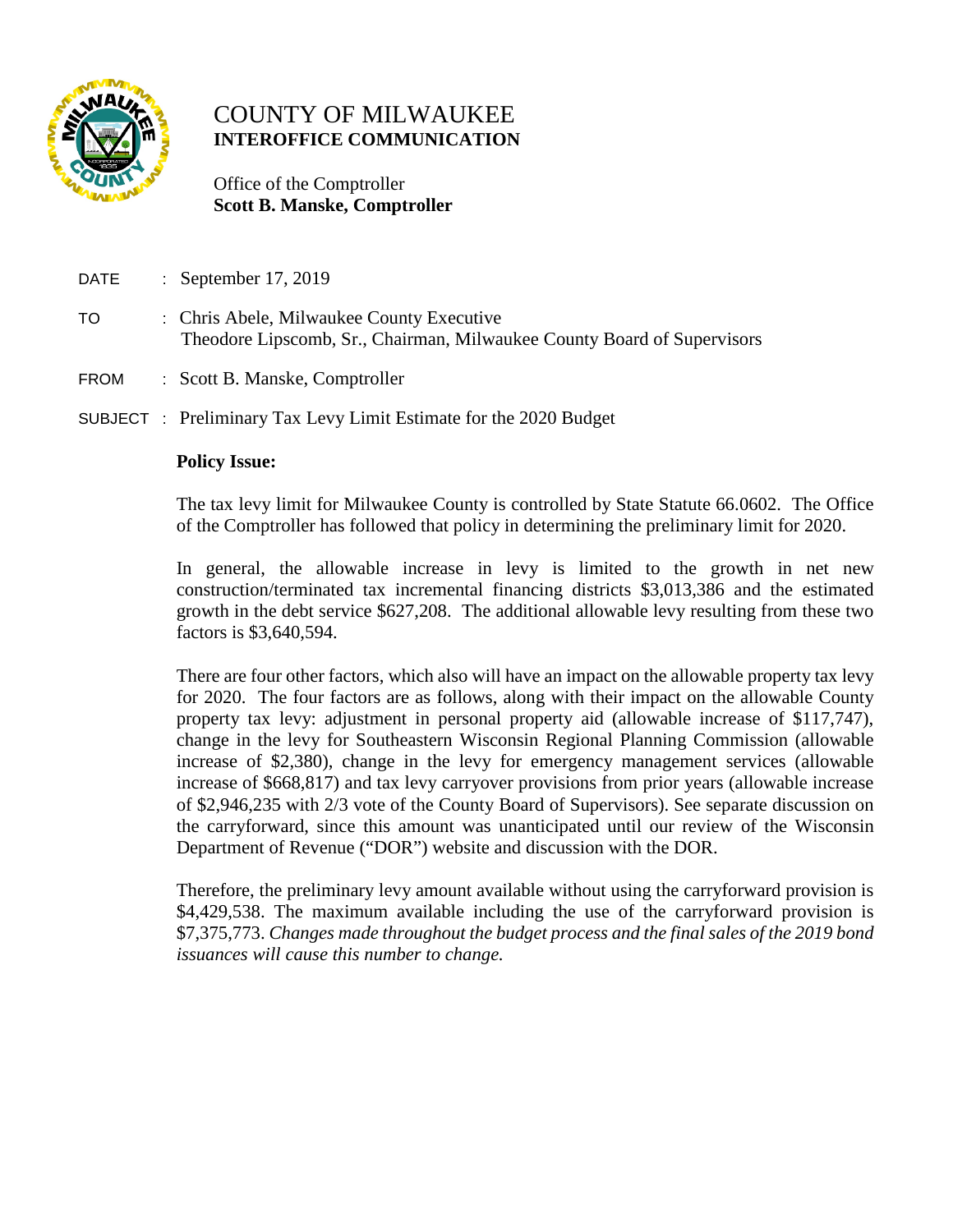

# COUNTY OF MILWAUKEE **INTEROFFICE COMMUNICATION**

 Office of the Comptroller  **Scott B. Manske, Comptroller**

- DATE : September 17, 2019
- TO : Chris Abele, Milwaukee County Executive Theodore Lipscomb, Sr., Chairman, Milwaukee County Board of Supervisors
- FROM : Scott B. Manske, Comptroller

SUBJECT : Preliminary Tax Levy Limit Estimate for the 2020 Budget

#### **Policy Issue:**

The tax levy limit for Milwaukee County is controlled by State Statute 66.0602. The Office of the Comptroller has followed that policy in determining the preliminary limit for 2020.

In general, the allowable increase in levy is limited to the growth in net new construction/terminated tax incremental financing districts \$3,013,386 and the estimated growth in the debt service \$627,208. The additional allowable levy resulting from these two factors is \$3,640,594.

There are four other factors, which also will have an impact on the allowable property tax levy for 2020. The four factors are as follows, along with their impact on the allowable County property tax levy: adjustment in personal property aid (allowable increase of \$117,747), change in the levy for Southeastern Wisconsin Regional Planning Commission (allowable increase of \$2,380), change in the levy for emergency management services (allowable increase of \$668,817) and tax levy carryover provisions from prior years (allowable increase of \$2,946,235 with 2/3 vote of the County Board of Supervisors). See separate discussion on the carryforward, since this amount was unanticipated until our review of the Wisconsin Department of Revenue ("DOR") website and discussion with the DOR.

Therefore, the preliminary levy amount available without using the carryforward provision is \$4,429,538. The maximum available including the use of the carryforward provision is \$7,375,773. *Changes made throughout the budget process and the final sales of the 2019 bond issuances will cause this number to change.*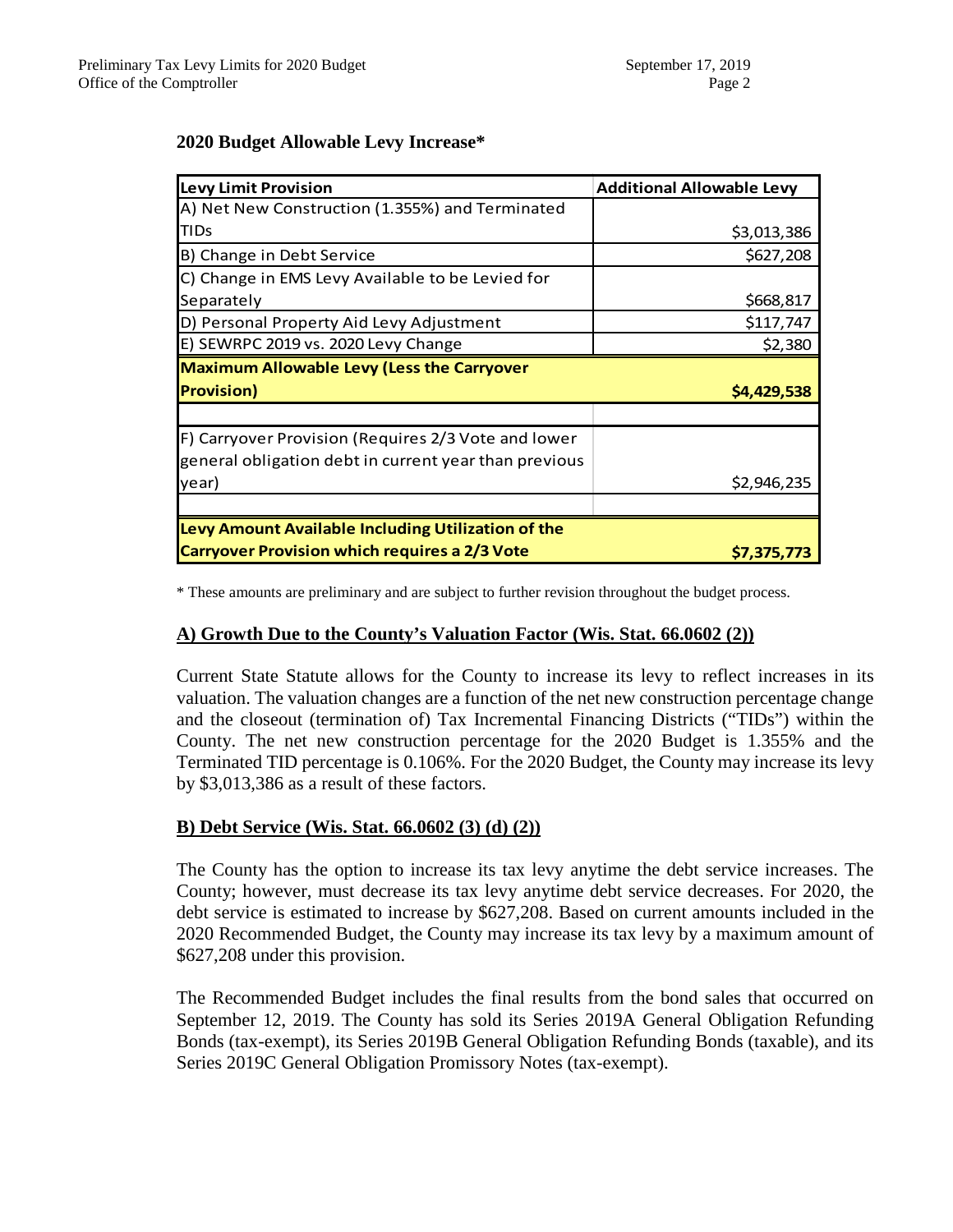#### **2020 Budget Allowable Levy Increase\***

| <b>Levy Limit Provision</b>                           | <b>Additional Allowable Levy</b> |
|-------------------------------------------------------|----------------------------------|
| A) Net New Construction (1.355%) and Terminated       |                                  |
| <b>TIDs</b>                                           | \$3,013,386                      |
| B) Change in Debt Service                             | \$627,208                        |
| C) Change in EMS Levy Available to be Levied for      |                                  |
| Separately                                            | \$668,817                        |
| D) Personal Property Aid Levy Adjustment              | \$117,747                        |
| E) SEWRPC 2019 vs. 2020 Levy Change                   | \$2,380                          |
| <b>Maximum Allowable Levy (Less the Carryover</b>     |                                  |
| <b>Provision)</b>                                     | \$4,429,538                      |
|                                                       |                                  |
| F) Carryover Provision (Requires 2/3 Vote and lower   |                                  |
| general obligation debt in current year than previous |                                  |
| year)                                                 | \$2,946,235                      |
|                                                       |                                  |
| Levy Amount Available Including Utilization of the    |                                  |
| <b>Carryover Provision which requires a 2/3 Vote</b>  | \$7,375,773                      |

\* These amounts are preliminary and are subject to further revision throughout the budget process.

## **A) Growth Due to the County's Valuation Factor (Wis. Stat. 66.0602 (2))**

Current State Statute allows for the County to increase its levy to reflect increases in its valuation. The valuation changes are a function of the net new construction percentage change and the closeout (termination of) Tax Incremental Financing Districts ("TIDs") within the County. The net new construction percentage for the 2020 Budget is 1.355% and the Terminated TID percentage is 0.106%. For the 2020 Budget, the County may increase its levy by \$3,013,386 as a result of these factors.

#### **B) Debt Service (Wis. Stat. 66.0602 (3) (d) (2))**

The County has the option to increase its tax levy anytime the debt service increases. The County; however, must decrease its tax levy anytime debt service decreases. For 2020, the debt service is estimated to increase by \$627,208. Based on current amounts included in the 2020 Recommended Budget, the County may increase its tax levy by a maximum amount of \$627,208 under this provision.

The Recommended Budget includes the final results from the bond sales that occurred on September 12, 2019. The County has sold its Series 2019A General Obligation Refunding Bonds (tax-exempt), its Series 2019B General Obligation Refunding Bonds (taxable), and its Series 2019C General Obligation Promissory Notes (tax-exempt).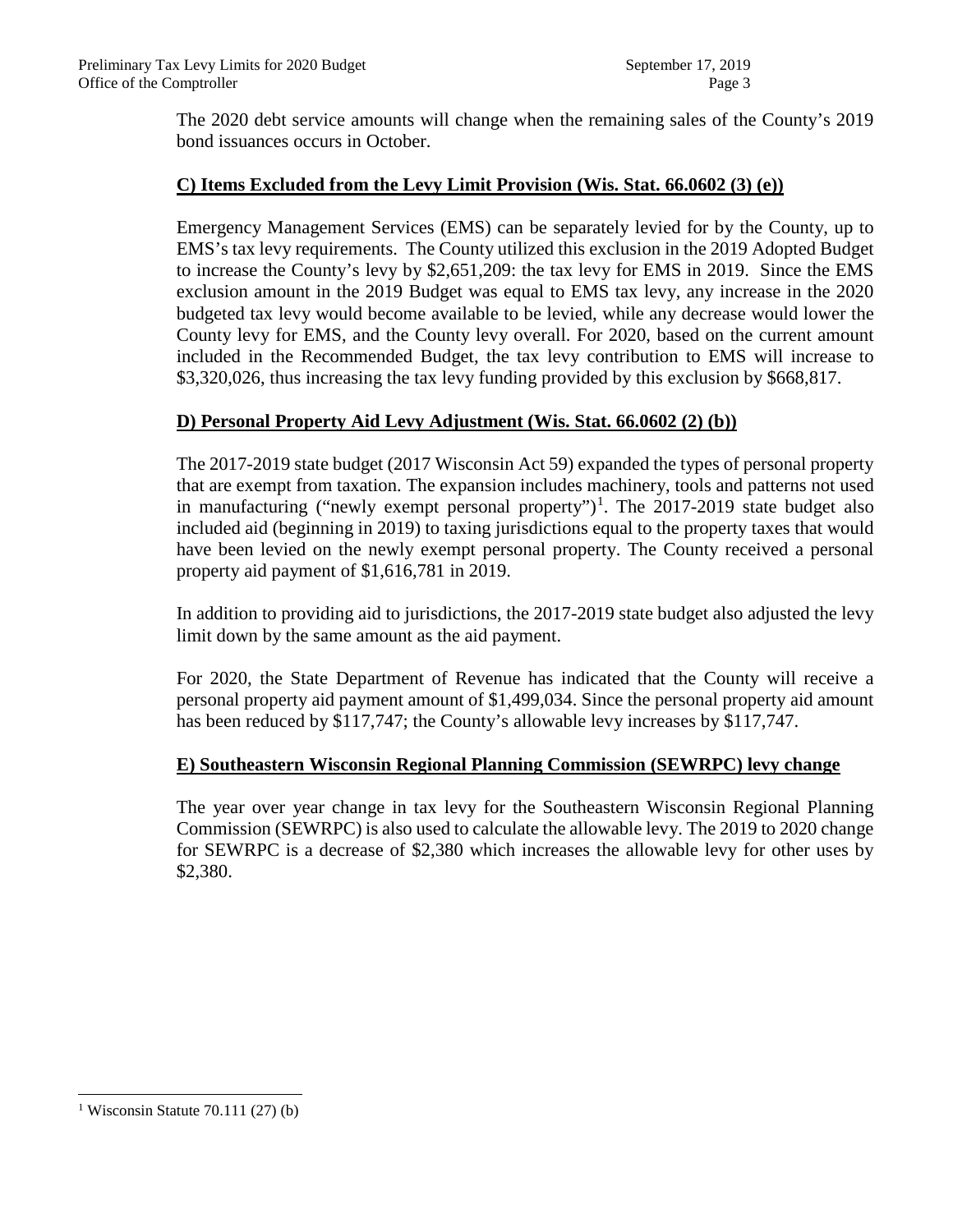The 2020 debt service amounts will change when the remaining sales of the County's 2019 bond issuances occurs in October.

# **C) Items Excluded from the Levy Limit Provision (Wis. Stat. 66.0602 (3) (e))**

Emergency Management Services (EMS) can be separately levied for by the County, up to EMS's tax levy requirements. The County utilized this exclusion in the 2019 Adopted Budget to increase the County's levy by \$2,651,209: the tax levy for EMS in 2019. Since the EMS exclusion amount in the 2019 Budget was equal to EMS tax levy, any increase in the 2020 budgeted tax levy would become available to be levied, while any decrease would lower the County levy for EMS, and the County levy overall. For 2020, based on the current amount included in the Recommended Budget, the tax levy contribution to EMS will increase to \$3,320,026, thus increasing the tax levy funding provided by this exclusion by \$668,817.

## **D) Personal Property Aid Levy Adjustment (Wis. Stat. 66.0602 (2) (b))**

The 2017-2019 state budget (2017 Wisconsin Act 59) expanded the types of personal property that are exempt from taxation. The expansion includes machinery, tools and patterns not used in manufacturing ("newly exempt personal property")<sup>[1](#page-2-0)</sup>. The 2017-2019 state budget also included aid (beginning in 2019) to taxing jurisdictions equal to the property taxes that would have been levied on the newly exempt personal property. The County received a personal property aid payment of \$1,616,781 in 2019.

In addition to providing aid to jurisdictions, the 2017-2019 state budget also adjusted the levy limit down by the same amount as the aid payment.

For 2020, the State Department of Revenue has indicated that the County will receive a personal property aid payment amount of \$1,499,034. Since the personal property aid amount has been reduced by \$117,747; the County's allowable levy increases by \$117,747.

## **E) Southeastern Wisconsin Regional Planning Commission (SEWRPC) levy change**

The year over year change in tax levy for the Southeastern Wisconsin Regional Planning Commission (SEWRPC) is also used to calculate the allowable levy. The 2019 to 2020 change for SEWRPC is a decrease of \$2,380 which increases the allowable levy for other uses by \$2,380.

<span id="page-2-0"></span><sup>&</sup>lt;sup>1</sup> Wisconsin Statute 70.111 (27) (b)